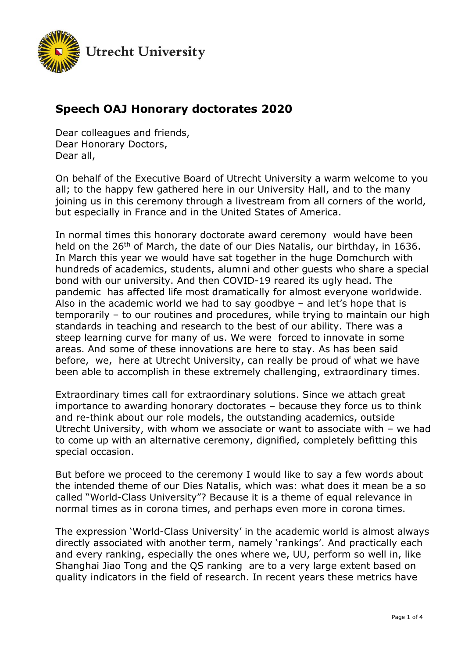

## **Speech OAJ Honorary doctorates 2020**

Dear colleagues and friends, Dear Honorary Doctors, Dear all,

On behalf of the Executive Board of Utrecht University a warm welcome to you all; to the happy few gathered here in our University Hall, and to the many joining us in this ceremony through a livestream from all corners of the world, but especially in France and in the United States of America.

In normal times this honorary doctorate award ceremony would have been held on the 26<sup>th</sup> of March, the date of our Dies Natalis, our birthday, in 1636. In March this year we would have sat together in the huge Domchurch with hundreds of academics, students, alumni and other guests who share a special bond with our university. And then COVID-19 reared its ugly head. The pandemic has affected life most dramatically for almost everyone worldwide. Also in the academic world we had to say goodbye – and let's hope that is temporarily – to our routines and procedures, while trying to maintain our high standards in teaching and research to the best of our ability. There was a steep learning curve for many of us. We were forced to innovate in some areas. And some of these innovations are here to stay. As has been said before, we, here at Utrecht University, can really be proud of what we have been able to accomplish in these extremely challenging, extraordinary times.

Extraordinary times call for extraordinary solutions. Since we attach great importance to awarding honorary doctorates – because they force us to think and re-think about our role models, the outstanding academics, outside Utrecht University, with whom we associate or want to associate with – we had to come up with an alternative ceremony, dignified, completely befitting this special occasion.

But before we proceed to the ceremony I would like to say a few words about the intended theme of our Dies Natalis, which was: what does it mean be a so called "World-Class University"? Because it is a theme of equal relevance in normal times as in corona times, and perhaps even more in corona times.

The expression 'World-Class University' in the academic world is almost always directly associated with another term, namely 'rankings'. And practically each and every ranking, especially the ones where we, UU, perform so well in, like Shanghai Jiao Tong and the QS ranking are to a very large extent based on quality indicators in the field of research. In recent years these metrics have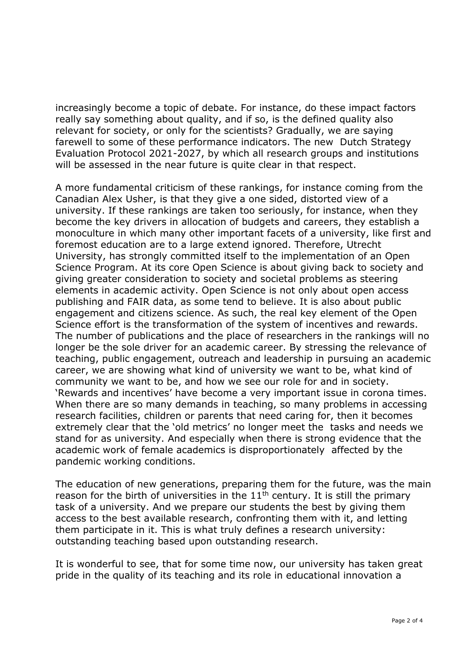increasingly become a topic of debate. For instance, do these impact factors really say something about quality, and if so, is the defined quality also relevant for society, or only for the scientists? Gradually, we are saying farewell to some of these performance indicators. The new Dutch Strategy Evaluation Protocol 2021-2027, by which all research groups and institutions will be assessed in the near future is quite clear in that respect.

A more fundamental criticism of these rankings, for instance coming from the Canadian Alex Usher, is that they give a one sided, distorted view of a university. If these rankings are taken too seriously, for instance, when they become the key drivers in allocation of budgets and careers, they establish a monoculture in which many other important facets of a university, like first and foremost education are to a large extend ignored. Therefore, Utrecht University, has strongly committed itself to the implementation of an Open Science Program. At its core Open Science is about giving back to society and giving greater consideration to society and societal problems as steering elements in academic activity. Open Science is not only about open access publishing and FAIR data, as some tend to believe. It is also about public engagement and citizens science. As such, the real key element of the Open Science effort is the transformation of the system of incentives and rewards. The number of publications and the place of researchers in the rankings will no longer be the sole driver for an academic career. By stressing the relevance of teaching, public engagement, outreach and leadership in pursuing an academic career, we are showing what kind of university we want to be, what kind of community we want to be, and how we see our role for and in society. 'Rewards and incentives' have become a very important issue in corona times. When there are so many demands in teaching, so many problems in accessing research facilities, children or parents that need caring for, then it becomes extremely clear that the 'old metrics' no longer meet the tasks and needs we stand for as university. And especially when there is strong evidence that the academic work of female academics is disproportionately affected by the pandemic working conditions.

The education of new generations, preparing them for the future, was the main reason for the birth of universities in the  $11<sup>th</sup>$  century. It is still the primary task of a university. And we prepare our students the best by giving them access to the best available research, confronting them with it, and letting them participate in it. This is what truly defines a research university: outstanding teaching based upon outstanding research.

It is wonderful to see, that for some time now, our university has taken great pride in the quality of its teaching and its role in educational innovation a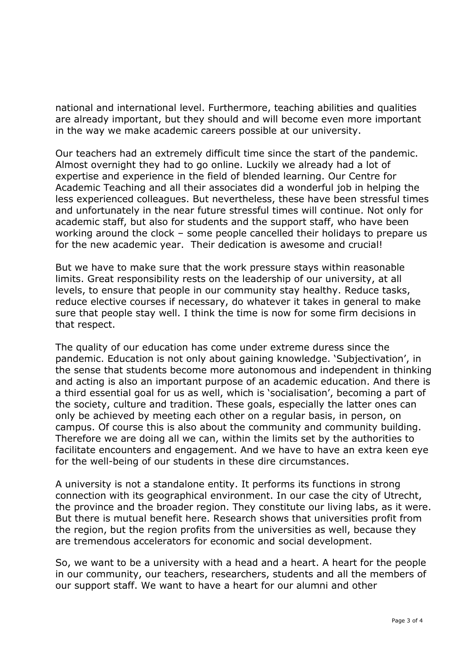national and international level. Furthermore, teaching abilities and qualities are already important, but they should and will become even more important in the way we make academic careers possible at our university.

Our teachers had an extremely difficult time since the start of the pandemic. Almost overnight they had to go online. Luckily we already had a lot of expertise and experience in the field of blended learning. Our Centre for Academic Teaching and all their associates did a wonderful job in helping the less experienced colleagues. But nevertheless, these have been stressful times and unfortunately in the near future stressful times will continue. Not only for academic staff, but also for students and the support staff, who have been working around the clock – some people cancelled their holidays to prepare us for the new academic year. Their dedication is awesome and crucial!

But we have to make sure that the work pressure stays within reasonable limits. Great responsibility rests on the leadership of our university, at all levels, to ensure that people in our community stay healthy. Reduce tasks, reduce elective courses if necessary, do whatever it takes in general to make sure that people stay well. I think the time is now for some firm decisions in that respect.

The quality of our education has come under extreme duress since the pandemic. Education is not only about gaining knowledge. 'Subjectivation', in the sense that students become more autonomous and independent in thinking and acting is also an important purpose of an academic education. And there is a third essential goal for us as well, which is 'socialisation', becoming a part of the society, culture and tradition. These goals, especially the latter ones can only be achieved by meeting each other on a regular basis, in person, on campus. Of course this is also about the community and community building. Therefore we are doing all we can, within the limits set by the authorities to facilitate encounters and engagement. And we have to have an extra keen eye for the well-being of our students in these dire circumstances.

A university is not a standalone entity. It performs its functions in strong connection with its geographical environment. In our case the city of Utrecht, the province and the broader region. They constitute our living labs, as it were. But there is mutual benefit here. Research shows that universities profit from the region, but the region profits from the universities as well, because they are tremendous accelerators for economic and social development.

So, we want to be a university with a head and a heart. A heart for the people in our community, our teachers, researchers, students and all the members of our support staff. We want to have a heart for our alumni and other